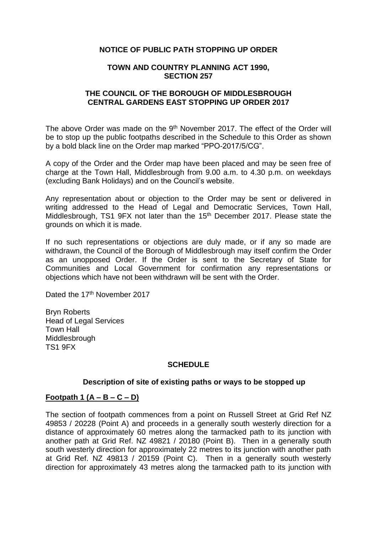### **NOTICE OF PUBLIC PATH STOPPING UP ORDER**

#### **TOWN AND COUNTRY PLANNING ACT 1990, SECTION 257**

### **THE COUNCIL OF THE BOROUGH OF MIDDLESBROUGH CENTRAL GARDENS EAST STOPPING UP ORDER 2017**

The above Order was made on the 9<sup>th</sup> November 2017. The effect of the Order will be to stop up the public footpaths described in the Schedule to this Order as shown by a bold black line on the Order map marked "PPO-2017/5/CG".

A copy of the Order and the Order map have been placed and may be seen free of charge at the Town Hall, Middlesbrough from 9.00 a.m. to 4.30 p.m. on weekdays (excluding Bank Holidays) and on the Council's website.

Any representation about or objection to the Order may be sent or delivered in writing addressed to the Head of Legal and Democratic Services, Town Hall, Middlesbrough, TS1 9FX not later than the 15<sup>th</sup> December 2017. Please state the grounds on which it is made.

If no such representations or objections are duly made, or if any so made are withdrawn, the Council of the Borough of Middlesbrough may itself confirm the Order as an unopposed Order. If the Order is sent to the Secretary of State for Communities and Local Government for confirmation any representations or objections which have not been withdrawn will be sent with the Order.

Dated the 17<sup>th</sup> November 2017

Bryn Roberts Head of Legal Services Town Hall **Middlesbrough** TS1 9FX

## **SCHEDULE**

#### **Description of site of existing paths or ways to be stopped up**

#### **Footpath 1 (A – B – C – D)**

The section of footpath commences from a point on Russell Street at Grid Ref NZ 49853 / 20228 (Point A) and proceeds in a generally south westerly direction for a distance of approximately 60 metres along the tarmacked path to its junction with another path at Grid Ref. NZ 49821 / 20180 (Point B). Then in a generally south south westerly direction for approximately 22 metres to its junction with another path at Grid Ref. NZ 49813 / 20159 (Point C). Then in a generally south westerly direction for approximately 43 metres along the tarmacked path to its junction with